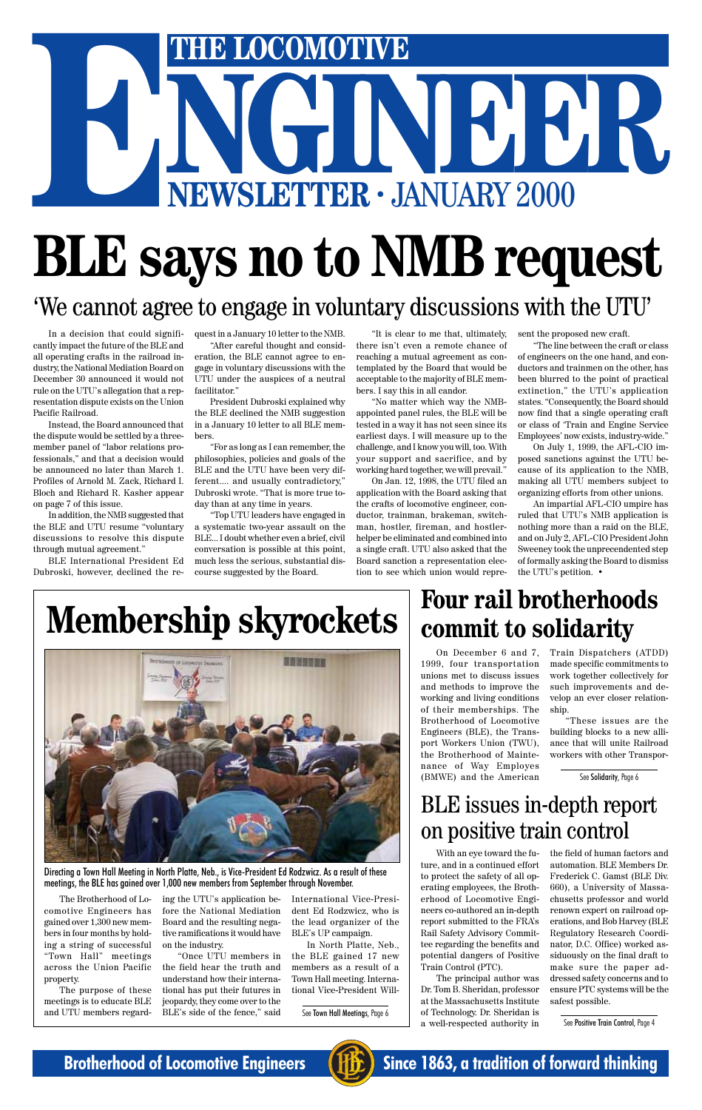# THE LOCOMOTIVE<br>NGC 100 P.R. **THE LOCOMOTIVE ENEWSLETTER ·** JANUARY 2000

# **BLE says no to NMB request**

See Town Hall Meetings, Page 6

On December 6 and 7, 1999, four transportation unions met to discuss issues and methods to improve the working and living conditions of their memberships. The Brotherhood of Locomotive Engineers (BLE), the Transport Workers Union (TWU), the Brotherhood of Maintenance of Way Employes (BMWE) and the American

Train Dispatchers (ATDD) made specific commitments to work together collectively for such improvements and develop an ever closer relationship.

"These issues are the building blocks to a new alliance that will unite Railroad workers with other Transpor-

### **Four rail brotherhoods commit to solidarity**

With an eye toward the future, and in a continued effort to protect the safety of all operating employees, the Brotherhood of Locomotive Engineers co-authored an in-depth report submitted to the FRA's Rail Safety Advisory Committee regarding the benefits and potential dangers of Positive Train Control (PTC).

The principal author was Dr. Tom B. Sheridan, professor at the Massachusetts Institute of Technology. Dr. Sheridan is a well-respected authority in

the field of human factors and automation. BLE Members Dr. Frederick C. Gamst (BLE Div. 660), a University of Massachusetts professor and world renown expert on railroad operations, and Bob Harvey (BLE Regulatory Research Coordinator, D.C. Office) worked assiduously on the final draft to make sure the paper addressed safety concerns and to ensure PTC systems will be the safest possible.

### BLE issues in-depth report

### on positive train control

### 'We cannot agree to engage in voluntary discussions with the UTU'

In a decision that could significantly impact the future of the BLE and all operating crafts in the railroad industry, the National Mediation Board on December 30 announced it would not rule on the UTU's allegation that a representation dispute exists on the Union Pacific Railroad.

Instead, the Board announced that the dispute would be settled by a threemember panel of "labor relations professionals," and that a decision would be announced no later than March 1. Profiles of Arnold M. Zack, Richard I. Bloch and Richard R. Kasher appear on page 7 of this issue.

In addition, the NMB suggested that the BLE and UTU resume "voluntary discussions to resolve this dispute through mutual agreement."

BLE International President Ed Dubroski, however, declined the request in a January 10 letter to the NMB.

"After careful thought and consideration, the BLE cannot agree to engage in voluntary discussions with the UTU under the auspices of a neutral facilitator."

President Dubroski explained why the BLE declined the NMB suggestion in a January 10 letter to all BLE members.

"For as long as I can remember, the philosophies, policies and goals of the BLE and the UTU have been very different.... and usually contradictory," Dubroski wrote. "That is more true today than at any time in years.

"Top UTU leaders have engaged in a systematic two-year assault on the BLE... I doubt whether even a brief, civil conversation is possible at this point, much less the serious, substantial discourse suggested by the Board.

"It is clear to me that, ultimately, there isn't even a remote chance of reaching a mutual agreement as contemplated by the Board that would be acceptable to the majority of BLE members. I say this in all candor.

"No matter which way the NMBappointed panel rules, the BLE will be tested in a way it has not seen since its earliest days. I will measure up to the challenge, and I know you will, too. With your support and sacrifice, and by working hard together, we will prevail."

On Jan. 12, 1998, the UTU filed an application with the Board asking that the crafts of locomotive engineer, conductor, trainman, brakeman, switchman, hostler, fireman, and hostlerhelper be eliminated and combined into a single craft. UTU also asked that the Board sanction a representation election to see which union would represent the proposed new craft.

"The line between the craft or class of engineers on the one hand, and conductors and trainmen on the other, has been blurred to the point of practical extinction," the UTU's application states. "Consequently, the Board should now find that a single operating craft or class of 'Train and Engine Service Employees' now exists, industry-wide."

On July 1, 1999, the AFL-CIO imposed sanctions against the UTU because of its application to the NMB, making all UTU members subject to organizing efforts from other unions.

An impartial AFL-CIO umpire has ruled that UTU's NMB application is nothing more than a raid on the BLE, and on July 2, AFL-CIO President John Sweeney took the unprecendented step of formally asking the Board to dismiss the UTU's petition. •

# **Membership skyrockets**



See Solidarity, Page 6

See Positive Train Control, Page 4



**Brotherhood of Locomotive Engineers (IFFE)** Since 1863, a tradition of forward thinking

Directing a Town Hall Meeting in North Platte, Neb., is Vice-President Ed Rodzwicz. As a result of these meetings, the BLE has gained over 1,000 new members from September through November.

The Brotherhood of Locomotive Engineers has gained over 1,300 new members in four months by holding a string of successful "Town Hall" meetings across the Union Pacific property.

The purpose of these meetings is to educate BLE and UTU members regarding the UTU's application before the National Mediation Board and the resulting negative ramifications it would have on the industry.

"Once UTU members in the field hear the truth and understand how their international has put their futures in jeopardy, they come over to the BLE's side of the fence," said

International Vice-President Ed Rodzwicz, who is the lead organizer of the BLE's UP campaign.

In North Platte, Neb., the BLE gained 17 new members as a result of a Town Hall meeting. International Vice-President Will-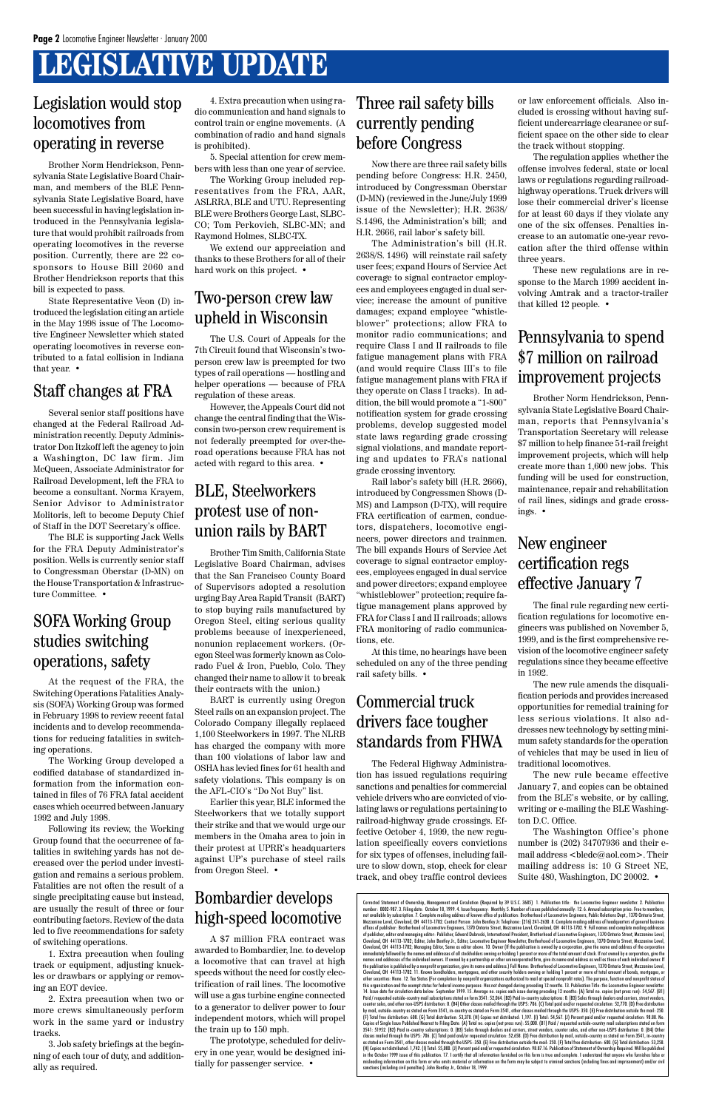### **LEGISLATIVE UPDATE**

Brother Norm Hendrickson, Pennsylvania State Legislative Board Chairman, and members of the BLE Pennsylvania State Legislative Board, have been successful in having legislation introduced in the Pennsylvania legislature that would prohibit railroads from operating locomotives in the reverse position. Currently, there are 22 cosponsors to House Bill 2060 and Brother Hendrickson reports that this bill is expected to pass.

State Representative Veon (D) introduced the legislation citing an article in the May 1998 issue of The Locomotive Engineer Newsletter which stated operating locomotives in reverse contributed to a fatal collision in Indiana that year. •

### Legislation would stop locomotives from operating in reverse

### Staff changes at FRA

Several senior staff positions have changed at the Federal Railroad Administration recently. Deputy Administrator Don Itzkoff left the agency to join a Washington, DC law firm. Jim McQueen, Associate Administrator for Railroad Development, left the FRA to become a consultant. Norma Krayem, Senior Advisor to Administrator Molitoris, left to become Deputy Chief of Staff in the DOT Secretary's office.

The BLE is supporting Jack Wells for the FRA Deputy Administrator's position. Wells is currently senior staff to Congressman Oberstar (D-MN) on the House Transportation & Infrastructure Committee. •

### BLE, Steelworkers protest use of nonunion rails by BART

Brother Tim Smith, California State Legislative Board Chairman, advises that the San Francisco County Board of Supervisors adopted a resolution urging Bay Area Rapid Transit (BART) to stop buying rails manufactured by Oregon Steel, citing serious quality problems because of inexperienced, nonunion replacement workers. (Oregon Steel was formerly known as Colorado Fuel & Iron, Pueblo, Colo. They changed their name to allow it to break their contracts with the union.)

BART is currently using Oregon Steel rails on an expansion project. The Colorado Company illegally replaced 1,100 Steelworkers in 1997. The NLRB has charged the company with more than 100 violations of labor law and OSHA has levied fines for 61 health and safety violations. This company is on the AFL-CIO's "Do Not Buy" list.

We extend our appreciation and thanks to these Brothers for all of their hard work on this project.  $\bullet$ 

Earlier this year, BLE informed the Steelworkers that we totally support their strike and that we would urge our members in the Omaha area to join in their protest at UPRR's headquarters against UP's purchase of steel rails from Oregon Steel. •

### Two-person crew law upheld in Wisconsin

The U.S. Court of Appeals for the 7th Circuit found that Wisconsin's twoperson crew law is preempted for two types of rail operations — hostling and helper operations — because of FRA regulation of these areas.

However, the Appeals Court did not change the central finding that the Wisconsin two-person crew requirement is not federally preempted for over-theroad operations because FRA has not acted with regard to this area. •

At the request of the FRA, the Switching Operations Fatalities Analysis (SOFA) Working Group was formed in February 1998 to review recent fatal incidents and to develop recommendations for reducing fatalities in switching operations.

The Working Group developed a codified database of standardized information from the information contained in files of 76 FRA fatal accident cases which occurred between January

1992 and July 1998.

Following its review, the Working Group found that the occurrence of fatalities in switching yards has not decreased over the period under investigation and remains a serious problem. Fatalities are not often the result of a single precipitating cause but instead, are usually the result of three or four contributing factors. Review of the data led to five recommendations for safety of switching operations.

1. Extra precaution when fouling track or equipment, adjusting knuckles or drawbars or applying or removing an EOT device.

2. Extra precaution when two or more crews simultaneously perform work in the same yard or industry tracks.

3. Job safety briefings at the beginning of each tour of duty, and additionally as required.

### SOFA Working Group studies switching operations, safety

4. Extra precaution when using radio communication and hand signals to control train or engine movements. (A combination of radio and hand signals is prohibited).

5. Special attention for crew members with less than one year of service.

The Working Group included representatives from the FRA, AAR, ASLRRA, BLE and UTU. Representing BLE were Brothers George Last, SLBC-CO; Tom Perkovich, SLBC-MN; and Raymond Holmes, SLBC-TX.

A \$7 million FRA contract was awarded to Bombardier, Inc. to develop a locomotive that can travel at high speeds without the need for costly electrification of rail lines. The locomotive will use a gas turbine engine connected to a generator to deliver power to four independent motors, which will propel the train up to 150 mph.

The prototype, scheduled for delivery in one year, would be designed initially for passenger service. •

### Bombardier develops high-speed locomotive

Now there are three rail safety bills pending before Congress: H.R. 2450, introduced by Congressman Oberstar (D-MN) (reviewed in the June/July 1999 issue of the Newsletter); H.R. 2638/ S.1496, the Administration's bill; and H.R. 2666, rail labor's safety bill.

The Administration's bill (H.R. 2638/S. 1496) will reinstate rail safety user fees; expand Hours of Service Act coverage to signal contractor employees and employees engaged in dual service; increase the amount of punitive damages; expand employee "whistleblower" protections; allow FRA to monitor radio communications; and require Class I and II railroads to file fatigue management plans with FRA (and would require Class III's to file fatigue management plans with FRA if they operate on Class I tracks). In addition, the bill would promote a "1-800" notification system for grade crossing problems, develop suggested model state laws regarding grade crossing signal violations, and mandate reporting and updates to FRA's national grade crossing inventory.

Rail labor's safety bill (H.R. 2666), introduced by Congressmen Shows (D-MS) and Lampson (D-TX), will require FRA certification of carmen, conductors, dispatchers, locomotive engineers, power directors and trainmen. The bill expands Hours of Service Act coverage to signal contractor employees, employees engaged in dual service and power directors; expand employee "whistleblower" protection; require fatigue management plans approved by FRA for Class I and II railroads; allows FRA monitoring of radio communications, etc.

Corrected Statement of Ownership, Management and Circulation (Required by 39 U.S.C. 3685) 1. Publication title: the Locomotive Engineer newsletter. 2. Publication<br>number: 0002-987.3. Filing date: October 18, 1999. 4. Issue offices of publisher: Brotherhood of Locomotive Engineers, 1370 Ontario Street, Mezzanine Level, Cleveland, OH 44113-1702. 9. Full names and complete mailing addresses of publisher, editor and managing editor: Publisher, Edward Dubroski, International President, Brotherhood of Locomotive Engineers, 1370 Ontario Street, Mezzanine Level,<br>Cleveland, OH 44113-1702; Editor, John Bentley Jr., Cleveland, OH 44113-1702; Managing Editor, Same as editor above. 10. Owner (If the publication is owned by a corporation, give the name and address of the corporation immediately followed by the names and addresses of all stockholders owning or holding 1 percent or more of the total amount of stock. If not owned by a corporation, give the<br>names and addresses of the individual owners. If the publication is published by a nonprofit organization, give its name and address.) Full Name: Brotherhood of Locomotive Engineers, 1370 Ontario Street, Mezzanine Level,<br>Cleveland, OH 44113-1702. 11. Known bondholders, m 14. Issue date for circulation data below: September 1999. 15. Average no. copies each issue during preceding 12 months: (A) Total no. copies (net press run): 54,567. (B1)<br>Paid / requested outside-country mail subscription counter sales, and other non-USPS distribution: 0. (B4) Other classes mailed through the USPS: 706. (C) Total paid and/or requested circulation: 52,770. (D) Free distribution by mail, outside-country as stated on Form 3541, in-country as stated on Form 3541, other classes mailed through the USPS: 350. (E) Free distribution outside the mail: 250. (F) Total free distribution: 600. (G) Total distribution: 53,370. (H) Copies not distributed: 1,197. (I) Total: 54,567. (J) Percent paid and/or requested circulation: 98.88. No. Copies of Single Issue Published Nearest to Filing Date: (A) Total no. copies (net press run): 55,000. (B1) Paid / requested outside-country mail subscriptions stated on form<br>3541: 51952. (B2) Paid in-country subscriptions misleading information on this form or who omits material or information on the form may be subject to criminal sanctions (including fines and imprisonment) and/or civil sanctions (including civil penalties). John Bentley Jr., October 18, 1999.

At this time, no hearings have been scheduled on any of the three pending rail safety bills. •

### Three rail safety bills currently pending before Congress

The Federal Highway Administration has issued regulations requiring sanctions and penalties for commercial vehicle drivers who are convicted of violating laws or regulations pertaining to railroad-highway grade crossings. Effective October 4, 1999, the new regulation specifically covers convictions for six types of offenses, including failure to slow down, stop, check for clear track, and obey traffic control devices

Brother Norm Hendrickson, Pennsylvania State Legislative Board Chairman, reports that Pennsylvania's Transportation Secretary will release \$7 million to help finance 51-rail freight improvement projects, which will help create more than 1,600 new jobs. This funding will be used for construction, maintenance, repair and rehabilitation of rail lines, sidings and grade crossings. •

### Pennsylvania to spend \$7 million on railroad improvement projects

### Commercial truck drivers face tougher standards from FHWA

### New engineer certification regs effective January 7

The final rule regarding new certification regulations for locomotive engineers was published on November 5, 1999, and is the first comprehensive revision of the locomotive engineer safety regulations since they became effective in 1992.

The new rule amends the disqualification periods and provides increased opportunities for remedial training for less serious violations. It also addresses new technology by setting minimum safety standards for the operation of vehicles that may be used in lieu of traditional locomotives.

The new rule became effective January 7, and copies can be obtained from the BLE's website, or by calling, writing or e-mailing the BLE Washing-

ton D.C. Office.

The Washington Office's phone number is (202) 34707936 and their email address <bledc@aol.com>. Their mailing address is: 10 G Street NE, Suite 480, Washington, DC 20002. •

or law enforcement officials. Also included is crossing without having sufficient undercarriage clearance or sufficient space on the other side to clear the track without stopping.

The regulation applies whether the offense involves federal, state or local laws or regulations regarding railroadhighway operations. Truck drivers will lose their commercial driver's license for at least 60 days if they violate any one of the six offenses. Penalties increase to an automatic one-year revocation after the third offense within three years.

These new regulations are in response to the March 1999 accident involving Amtrak and a tractor-trailer that killed 12 people. •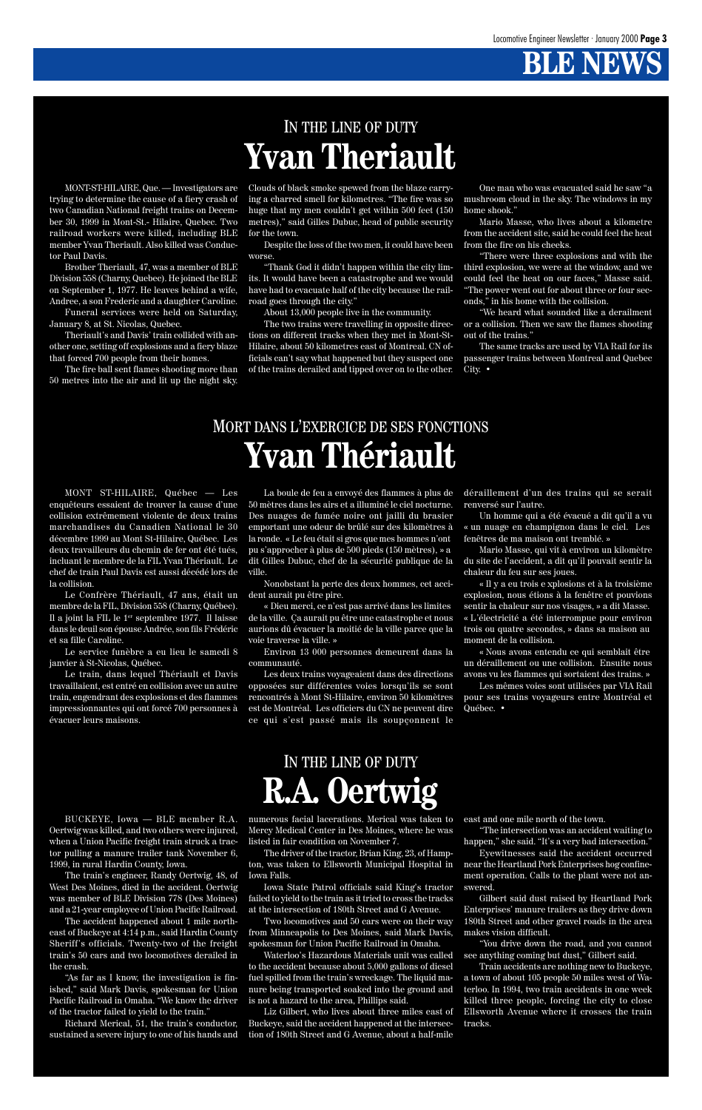MONT-ST-HILAIRE, Que. — Investigators are trying to determine the cause of a fiery crash of two Canadian National freight trains on December 30, 1999 in Mont-St.- Hilaire, Quebec. Two railroad workers were killed, including BLE member Yvan Theriault. Also killed was Conductor Paul Davis.

Brother Theriault, 47, was a member of BLE Division 558 (Charny, Quebec). He joined the BLE on September 1, 1977. He leaves behind a wife, Andree, a son Frederic and a daughter Caroline.

Funeral services were held on Saturday, January 8, at St. Nicolas, Quebec.

Theriault's and Davis' train collided with another one, setting off explosions and a fiery blaze that forced 700 people from their homes.

The fire ball sent flames shooting more than 50 metres into the air and lit up the night sky.

Clouds of black smoke spewed from the blaze carrying a charred smell for kilometres. "The fire was so huge that my men couldn't get within 500 feet (150 metres)," said Gilles Dubuc, head of public security for the town.

Despite the loss of the two men, it could have been worse.

"Thank God it didn't happen within the city limits. It would have been a catastrophe and we would have had to evacuate half of the city because the railroad goes through the city."

About 13,000 people live in the community.

The two trains were travelling in opposite directions on different tracks when they met in Mont-St-Hilaire, about 50 kilometres east of Montreal. CN officials can't say what happened but they suspect one of the trains derailed and tipped over on to the other.

One man who was evacuated said he saw "a mushroom cloud in the sky. The windows in my home shook."

Mario Masse, who lives about a kilometre from the accident site, said he could feel the heat from the fire on his cheeks.

"There were three explosions and with the third explosion, we were at the window, and we could feel the heat on our faces," Masse said. "The power went out for about three or four seconds," in his home with the collision.

"We heard what sounded like a derailment or a collision. Then we saw the flames shooting out of the trains."

The same tracks are used by VIA Rail for its passenger trains between Montreal and Quebec City. •

BUCKEYE, Iowa — BLE member R.A. Oertwig was killed, and two others were injured, when a Union Pacific freight train struck a tractor pulling a manure trailer tank November 6, 1999, in rural Hardin County, Iowa.

The train's engineer, Randy Oertwig, 48, of West Des Moines, died in the accident. Oertwig was member of BLE Division 778 (Des Moines) and a 21-year employee of Union Pacific Railroad.

The accident happened about 1 mile northeast of Buckeye at 4:14 p.m., said Hardin County Sheriff's officials. Twenty-two of the freight train's 50 cars and two locomotives derailed in the crash.

"As far as I know, the investigation is finished," said Mark Davis, spokesman for Union Pacific Railroad in Omaha. "We know the driver of the tractor failed to yield to the train."

Richard Merical, 51, the train's conductor, sustained a severe injury to one of his hands and

«␣ Dieu merci, ce n'est pas arrivé dans les limites de la ville. Ça aurait pu être une catastrophe et nous aurions dû évacuer la moitié de la ville parce que la voie traverse la ville. »

The driver of the tractor, Brian King, 23, of Hampton, was taken to Ellsworth Municipal Hospital in Iowa Falls.

Un homme qui a été évacué a dit qu'il a vu «␣ un nuage en champignon dans le ciel. Les fenêtres de ma maison ont tremblé. »

Iowa State Patrol officials said King's tractor failed to yield to the train as it tried to cross the tracks at the intersection of 180th Street and G Avenue.

Two locomotives and 50 cars were on their way from Minneapolis to Des Moines, said Mark Davis, spokesman for Union Pacific Railroad in Omaha.

numerous facial lacerations. Merical was taken to Mercy Medical Center in Des Moines, where he was listed in fair condition on November 7. east and one mile north of the town. "The intersection was an accident waiting to happen," she said. "It's a very bad intersection."

> Waterloo's Hazardous Materials unit was called to the accident because about 5,000 gallons of diesel fuel spilled from the train's wreckage. The liquid manure being transported soaked into the ground and is not a hazard to the area, Phillips said.

Liz Gilbert, who lives about three miles east of Buckeye, said the accident happened at the intersection of 180th Street and G Avenue, about a half-mile

Eyewitnesses said the accident occurred near the Heartland Pork Enterprises hog confinement operation. Calls to the plant were not answered.

Gilbert said dust raised by Heartland Pork Enterprises' manure trailers as they drive down 180th Street and other gravel roads in the area makes vision difficult.

"You drive down the road, and you cannot see anything coming but dust," Gilbert said.

Train accidents are nothing new to Buckeye, a town of about 105 people 50 miles west of Waterloo. In 1994, two train accidents in one week killed three people, forcing the city to close Ellsworth Avenue where it crosses the train tracks.

### IN THE LINE OF DUTY **Yvan Theriault**

### IN THE LINE OF DUTY **R.A. Oertwig**

MONT ST-HILAIRE, Québec — Les enquêteurs essaient de trouver la cause d'une collision extrêmement violente de deux trains marchandises du Canadien National le 30 décembre 1999 au Mont St-Hilaire, Québec. Les deux travailleurs du chemin de fer ont été tués, incluant le membre de la FIL Yvan Thériault. Le chef de train Paul Davis est aussi décédé lors de la collision.

Le Confrère Thériault, 47 ans, était un membre de la FIL, Division 558 (Charny, Québec). Il a joint la FIL le 1er septembre 1977. Il laisse dans le deuil son épouse Andrée, son fils Frédéric et sa fille Caroline.

Le service funèbre a eu lieu le samedi 8 janvier à St-Nicolas, Québec.

Le train, dans lequel Thériault et Davis travaillaient, est entré en collision avec un autre train, engendrant des explosions et des flammes impressionnantes qui ont forcé 700 personnes à évacuer leurs maisons.

La boule de feu a envoyé des flammes à plus de 50 mètres dans les airs et a illuminé le ciel nocturne. Des nuages de fumée noire ont jailli du brasier emportant une odeur de brûlé sur des kilomètres à la ronde. «␣ Le feu était si gros que mes hommes n'ont pu s'approcher à plus de 500 pieds (150 mètres), » a dit Gilles Dubuc, chef de la sécurité publique de la ville.

Nonobstant la perte des deux hommes, cet accident aurait pu être pire.

Environ 13 000 personnes demeurent dans la communauté.

Les deux trains voyageaient dans des directions opposées sur différentes voies lorsqu'ils se sont rencontrés à Mont St-Hilaire, environ 50 kilomètres est de Montréal. Les officiers du CN ne peuvent dire ce qui s'est passé mais ils soupçonnent le

#### déraillement d'un des trains qui se serait renversé sur l'autre.

Mario Masse, qui vit à environ un kilomètre du site de l'accident, a dit qu'il pouvait sentir la chaleur du feu sur ses joues.

«␣ Il y a eu trois e xplosions et à la troisième explosion, nous étions à la fenêtre et pouvions sentir la chaleur sur nos visages, » a dit Masse. «␣ L'électricité a été interrompue pour environ trois ou quatre secondes,␣ » dans sa maison au moment de la collision.

«␣ Nous avons entendu ce qui semblait être un déraillement ou une collision. Ensuite nous avons vu les flammes qui sortaient des trains.␣ »

Les mêmes voies sont utilisées par VIA Rail pour ses trains voyageurs entre Montréal et Québec. •

### MORT DANS L'EXERCICE DE SES FONCTIONS **Yvan Thériault**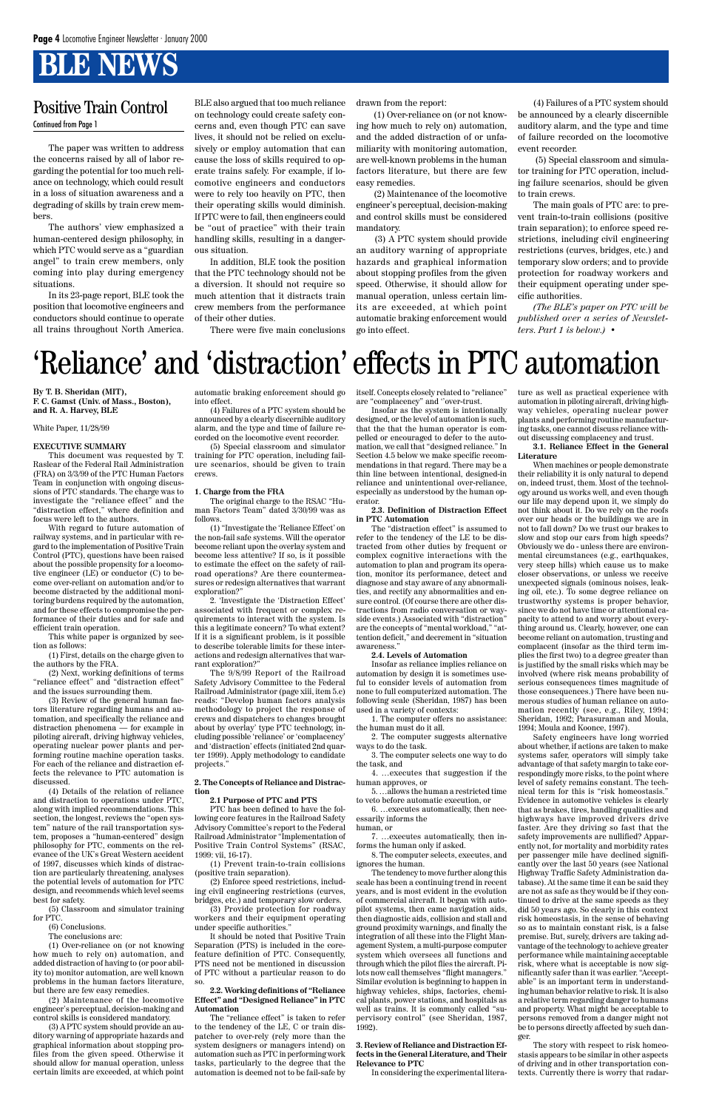The paper was written to address the concerns raised by all of labor regarding the potential for too much reliance on technology, which could result in a loss of situation awareness and a degrading of skills by train crew members.

The authors' view emphasized a human-centered design philosophy, in which PTC would serve as a "guardian angel" to train crew members, only coming into play during emergency situations.

In its 23-page report, BLE took the position that locomotive engineers and conductors should continue to operate all trains throughout North America.

BLE also argued that too much reliance on technology could create safety concerns and, even though PTC can save lives, it should not be relied on exclusively or employ automation that can cause the loss of skills required to operate trains safely. For example, if locomotive engineers and conductors were to rely too heavily on PTC, then their operating skills would diminish. If PTC were to fail, then engineers could be "out of practice" with their train handling skills, resulting in a dangerous situation.

In addition, BLE took the position that the PTC technology should not be a diversion. It should not require so much attention that it distracts train crew members from the performance of their other duties.

There were five main conclusions

drawn from the report:

 (1) Over-reliance on (or not knowing how much to rely on) automation, and the added distraction of or unfamiliarity with monitoring automation, are well-known problems in the human factors literature, but there are few easy remedies.

 (2) Maintenance of the locomotive engineer's perceptual, decision-making and control skills must be considered mandatory.

 (3) A PTC system should provide an auditory warning of appropriate hazards and graphical information about stopping profiles from the given speed. Otherwise, it should allow for manual operation, unless certain limits are exceeded, at which point automatic braking enforcement would go into effect.

(4) Failures of a PTC system should be announced by a clearly discernible auditory alarm, and the type and time of failure recorded on the locomotive event recorder.

 (5) Special classroom and simulator training for PTC operation, including failure scenarios, should be given to train crews.

The main goals of PTC are: to prevent train-to-train collisions (positive train separation); to enforce speed restrictions, including civil engineering restrictions (curves, bridges, etc.) and temporary slow orders; and to provide protection for roadway workers and their equipment operating under specific authorities.

*(The BLE's paper on PTC will be published over a series of Newsletters. Part 1 is below.)* •

### Positive Train Control

Continued from Page 1

### 'Reliance' and 'distraction' effects in PTC automation

**By T. B. Sheridan (MIT), F. C. Gamst (Univ. of Mass., Boston), and R. A. Harvey, BLE**

White Paper, 11/28/99

#### **EXECUTIVE SUMMARY**

This document was requested by T. Raslear of the Federal Rail Administration (FRA) on 3/3/99 of the PTC Human Factors Team in conjunction with ongoing discussions of PTC standards. The charge was to investigate the "reliance effect" and the "distraction effect," where definition and focus were left to the authors.

With regard to future automation of railway systems, and in particular with regard to the implementation of Positive Train Control (PTC), questions have been raised about the possible propensity for a locomotive engineer (LE) or conductor (C) to become over-reliant on automation and/or to become distracted by the additional monitoring burdens required by the automation, and for these effects to compromise the performance of their duties and for safe and efficient train operation.

This white paper is organized by section as follows:

(1) First, details on the charge given to the authors by the FRA.

(2) Next, working definitions of terms "reliance effect" and "distraction effect" and the issues surrounding them.

(3) Review of the general human factors literature regarding humans and automation, and specifically the reliance and distraction phenomena — for example in piloting aircraft, driving highway vehicles, operating nuclear power plants and performing routine machine operation tasks. For each of the reliance and distraction effects the relevance to PTC automation is discussed.

(4) Details of the relation of reliance and distraction to operations under PTC, along with implied recommendations. This section, the longest, reviews the "open system" nature of the rail transportation system, proposes a "human-centered" design philosophy for PTC, comments on the relevance of the UK's Great Western accident of 1997, discusses which kinds of distraction are particularly threatening, analyses the potential levels of automation for PTC design, and recommends which level seems best for safety.

(5) Classroom and simulator training for PTC.

(6) Conclusions.

The conclusions are:

(1) Over-reliance on (or not knowing how much to rely on) automation, and added distraction of having to (or poor ability to) monitor automation, are well known problems in the human factors literature, but there are few easy remedies.

(2) Maintenance of the locomotive engineer's perceptual, decision-making and control skills is considered mandatory.

(3) A PTC system should provide an auditory warning of appropriate hazards and graphical information about stopping profiles from the given speed. Otherwise it should allow for manual operation, unless certain limits are exceeded, at which point automatic braking enforcement should go into effect.

(4) Failures of a PTC system should be announced by a clearly discernible auditory alarm, and the type and time of failure recorded on the locomotive event recorder.

(5) Special classroom and simulator training for PTC operation, including failure scenarios, should be given to train crews.

#### **1. Charge from the FRA**

The original charge to the RSAC "Human Factors Team" dated 3/30/99 was as follows.

(1) "Investigate the 'Reliance Effect' on the non-fail safe systems. Will the operator become reliant upon the overlay system and become less attentive? If so, is it possible to estimate the effect on the safety of railroad operations? Are there countermeasures or redesign alternatives that warrant exploration?"

2. 'Investigate the 'Distraction Effect' associated with frequent or complex requirements to interact with the system. Is this a legitimate concern? To what extent? If it is a significant problem, is it possible to describe tolerable limits for these interactions and redesign alternatives that warrant exploration?"

The 9/8/99 Report of the Railroad Safety Advisory Committee to the Federal Railroad Administrator (page xiii, item 5.c) reads: "Develop human factors analysis methodology to project the response of crews and dispatchers to changes brought about by overlay' type PTC technology, including possible 'reliance' or 'complacency' and 'distraction' effects (initiated 2nd quarter 1999). Apply methodology to candidate projects."

#### **2. The Concepts of Reliance and Distraction**

#### **2.1 Purpose of PTC and PTS**

PTC has been defined to have the following core features in the Railroad Safety Advisory Committee's report to the Federal Railroad Administrator "Implementation of Positive Train Control Systems" (RSAC, 1999: vii, 16-17).

(1) Prevent train-to-train collisions (positive train separation).

(2) Enforce speed restrictions, including civil engineering restrictions (curves, bridges, etc.) and temporary slow orders.

(3) Provide protection for roadway workers and their equipment operating under specific authorities."

It should be noted that Positive Train Separation (PTS) is included in the corefeature definition of PTC. Consequently, PTS need not be mentioned in discussion of PTC without a particular reason to do so.

**2.2. Working definitions of "Reliance Effect" and "Designed Reliance" in PTC Automation**

The "reliance effect" is taken to refer to the tendency of the LE, C or train dispatcher to over-rely (rely more than the system designers or managers intend) on automation such as PTC in performing work tasks, particularly to the degree that the automation is deemed not to be fail-safe by

itself. Concepts closely related to "reliance" are "complacency" and ''over-trust.

Insofar as the system is intentionally designed, or the level of automation is such, that the that the human operator is compelled or encouraged to defer to the automation, we call that "designed reliance." In Section 4.5 below we make specific recommendations in that regard. There may be a thin line between intentional, designed-in reliance and unintentional over-reliance, especially as understood by the human operator.

#### **2.3. Definition of Distraction Effect in PTC Automation**

The "distraction effect" is assumed to refer to the tendency of the LE to be distracted from other duties by frequent or complex cognitive interactions with the automation to plan and program its operation, monitor its performance, detect and diagnose and stay aware of any abnormalities, and rectify any abnormalities and ensure control. (Of course there are other distractions from radio conversation or wayside events.) Associated with "distraction" are the concepts of "mental workload," "attention deficit," and decrement in "situation awareness."

#### **2.4. Levels of Automation**

Insofar as reliance implies reliance on automation by design it is sometimes useful to consider levels of automation from none to full computerized automation. The following scale (Sheridan, 1987) has been used in a variety of contexts:

1. The computer offers no assistance: the human must do it all.

2. The computer suggests alternative ways to do the task.

3. The computer selects one way to do the task, and

4. …executes that suggestion if the human approves, or

5. …allows the human a restricted time to veto before automatic execution, or

6. …executes automatically, then nec-

essarily informs the human, or

7. …executes automatically, then informs the human only if asked.

8. The computer selects, executes, and ignores the human.

The tendency to move further along this scale has been a continuing trend in recent years, and is most evident in the evolution of commercial aircraft. It began with autopilot systems, then came navigation aids, then diagnostic aids, collision and stall and ground proximity warnings, and finally the integration of all these into the Flight Management System, a multi-purpose computer system which oversees all functions and through which the pilot flies the aircraft. Pilots now call themselves "flight managers." Similar evolution is beginning to happen in highway vehicles, ships, factories, chemical plants, power stations, and hospitals as well as trains. It is commonly called "supervisory control" (see Sheridan, 1987, 1992).

#### **3. Review of Reliance and Distraction Effects in the General Literature, and Their Relevance to PTC**

In considering the experimental litera-

ture as well as practical experience with automation in piloting aircraft, driving highway vehicles, operating nuclear power plants and performing routine manufacturing tasks, one cannot discuss reliance without discussing complacency and trust.

#### **3.1. Reliance Effect in the General Literature**

When machines or people demonstrate their reliability it is only natural to depend on, indeed trust, them. Most of the technology around us works well, and even though our life may depend upon it, we simply do not think about it. Do we rely on the roofs over our heads or the buildings we are in not to fall down? Do we trust our brakes to slow and stop our cars from high speeds? Obviously we do - unless there are environmental circumstances (e.g., earthquakes, very steep hills) which cause us to make closer observations, or unless we receive unexpected signals (ominous noises, leaking oil, etc.). To some degree reliance on trustworthy systems is proper behavior, since we do not have time or attentional capacity to attend to and worry about everything around us. Clearly, however, one can become reliant on automation, trusting and complacent (insofar as the third term implies the first two) to a degree greater than is justified by the small risks which may be involved (where risk means probability of serious consequences times magnitude of those consequences.) There have been numerous studies of human reliance on automation recently (see, e.g., Riley, 1994; Sheridan, 1992; Parasuraman and Moula, 1994; Moula and Koonce, 1997).

Safety engineers have long worried about whether, if actions are taken to make systems safer, operators will simply take advantage of that safety margin to take correspondingly more risks, to the point where level of safety remains constant. The technical term for this is "risk homeostasis." Evidence in automotive vehicles is clearly that as brakes, tires, handling qualities and highways have improved drivers drive faster. Are they driving so fast that the safety improvements are nullified? Apparently not, for mortality and morbidity rates per passenger mile have declined significantly over the last 50 years (see National Highway Traffic Safety Administration database). At the same time it can be said they are not as safe as they would be if they continued to drive at the same speeds as they did 50 years ago. So clearly in this context risk homeostasis, in the sense of behaving so as to maintain constant risk, is a false premise. But, surely, drivers are taking advantage of the technology to achieve greater performance while maintaining acceptable risk, where what is acceptable is now significantly safer than it was earlier. "Acceptable" is an important term in understanding human behavior relative to risk. It is also a relative term regarding danger to humans and property. What might be acceptable to persons removed from a danger might not be to persons directly affected by such danger. The story with respect to risk homeostasis appears to be similar in other aspects of driving and in other transportation contexts. Currently there is worry that radar-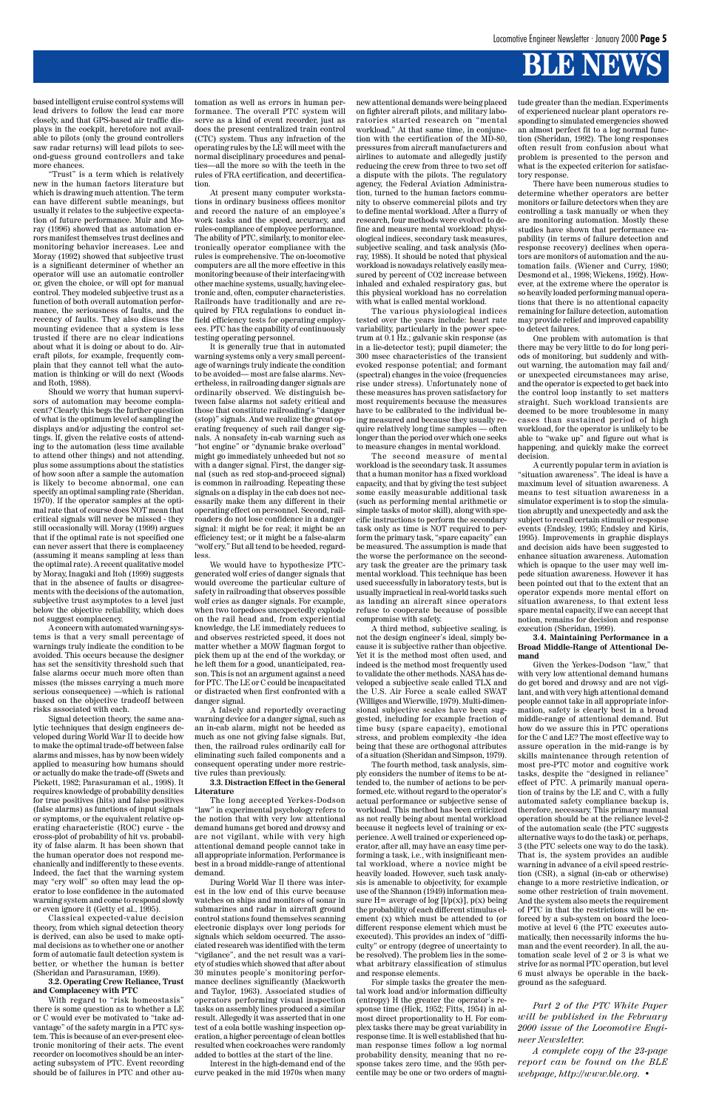based intelligent cruise control systems will lead drivers to follow the lead car more closely, and that GPS-based air traffic displays in the cockpit, heretofore not available to pilots (only the ground controllers saw radar returns) will lead pilots to second-guess ground controllers and take more chances.

"Trust" is a term which is relatively new in the human factors literature but which is drawing much attention. The term can have different subtle meanings, but usually it relates to the subjective expectation of future performance. Muir and Moray (1996) showed that as automation errors manifest themselves trust declines and monitoring behavior increases. Lee and Moray (1992) showed that subjective trust is a significant determiner of whether an operator will use an automatic controller or, given the choice, or will opt for manual control. They modeled subjective trust as a function of both overall automation performance, the seriousness of faults, and the recency of faults. They also discuss the mounting evidence that a system is less trusted if there are no clear indications about what it is doing or about to do. Aircraft pilots, for example, frequently complain that they cannot tell what the automation is thinking or will do next (Woods and Roth, 1988).

Should we worry that human supervisors of automation may become complacent? Clearly this begs the further question of what is the optimum level of sampling the displays and/or adjusting the control settings. If, given the relative costs of attending to the automation (less time available to attend other things) and not attending, plus some assumptions about the statistics of how soon after a sample the automation is likely to become abnormal, one can specify an optimal sampling rate (Sheridan, 1970). If the operator samples at the optimal rate that of course does NOT mean that critical signals will never be missed - they still occasionally will. Moray (1999) argues that if the optimal rate is not specified one can never assert that there is complacency (assuming it means sampling at less than the optimal rate). A recent qualitative model by Moray, Inagaki and Itoh (1999) suggests that in the absence of faults or disagreements with the decisions of the automation, subjective trust asymptotes to a level just below the objective reliability, which does not suggest complacency.

A concern with automated warning systems is that a very small percentage of warnings truly indicate the condition to be avoided. This occurs because the designer has set the sensitivity threshold such that false alarms occur much more often than misses (the misses carrying a much more serious consequence) —which is rational based on the objective tradeoff between risks associated with each.

Signal detection theory, the same analytic techniques that design engineers developed during World War II to decide how to make the optimal trade-off between false alarms and misses, has by now been widely applied to measuring how humans should or actually do make the trade-off (Swets and Pickett, 1982; Parasuraman et al., 1998). It requires knowledge of probability densities for true positives (hits) and false positives (false alarms) as functions of input signals or symptoms, or the equivalent relative operating characteristic (ROC) curve - the cross-plot of probability of hit vs. probability of false alarm. It has been shown that the human operator does not respond mechanically and indifferently to these events. Indeed, the fact that the warning system may "cry wolf" so often may lead the operator to lose confidence in the automated warning system and come to respond slowly or even ignore it (Getty et al., 1995). Classical expected-value decision theory, from which signal detection theory is derived, can also be used to make optimal decisions as to whether one or another form of automatic fault detection system is better, or whether the human is better (Sheridan and Parasuraman, 1999).

#### **3.2. Operating Crew Reliance, Trust and Complacency with PTC**

With regard to "risk homeostasis" there is some question as to whether a LE or C would ever be motivated to "take advantage" of the safety margin in a PTC system. This is because of an ever-present electronic monitoring of their acts. The event recorder on locomotives should be an interacting subsystem of PTC. Event recording should be of failures in PTC and other automation as well as errors in human performance. The overall PTC system will serve as a kind of event recorder, just as does the present centralized train control (CTC) system. Thus any infraction of the operating rules by the LE will meet with the normal disciplinary procedures and penalties—all the more so with the teeth in the rules of FRA certification, and decertification.

At present many computer workstations in ordinary business offices monitor and record the nature of an employee's work tasks and the speed, accuracy, and rules-compliance of employee performance. The ability of PTC, similarly, to monitor electronically operator compliance with the rules is comprehensive. The on-locomotive computers are all the more effective in this monitoring because of their interfacing with other machine systems, usually, having electronic and, often, computer characteristics. Railroads have traditionally and are required by FRA regulations to conduct infield efficiency tests for operating employees. PTC has the capability of continuously testing operating personnel.

It is generally true that in automated warning systems only a very small percentage of warnings truly indicate the condition to be avoided— most are false alarms. Nevertheless, in railroading danger signals are ordinarily observed. We distinguish between false alarms not safety critical and those that constitute railroading's "danger (stop)" signals. And we realize the great operating frequency of such rail danger signals. A nonsafety in-cab warning such as "hot engine" or "dynamic brake overload" might go immediately unheeded but not so with a danger signal. First, the danger signal (such as red stop-and-proceed signal) is common in railroading. Repeating these signals on a display in the cab does not necessarily make them any different in their operating effect on personnel. Second, railroaders do not lose confidence in a danger signal: it might be for real; it might be an efficiency test; or it might be a false-alarm "wolf cry." But all tend to be heeded, regardless.

We would have to hypothesize PTCgenerated wolf cries of danger signals that would overcome the particular culture of safety in railroading that observes possible wolf cries as danger signals. For example, when two torpedoes unexpectedly explode on the rail head and, from experiential knowledge, the LE immediately reduces to and observes restricted speed, it does not matter whether a MOW flagman forgot to pick them up at the end of the workday, or he left them for a good, unanticipated, reason. This is not an argument against a need for PTC. The LE or C could be incapacitated or distracted when first confronted with a danger signal.

A falsely and reportedly overacting warning device for a danger signal, such as an in-cab alarm, might not be heeded as much as one not giving false signals. But, then, the railroad rules ordinarily call for eliminating such failed components and a consequent operating under more restrictive rules than previously.

#### **3.3. Distraction Effect in the General Literature**

The long accepted Yerkes-Dodson "law" in experimental psychology refers to the notion that with very low attentional demand humans get bored and drowsy and are not vigilant, while with very high attentional demand people cannot take in all appropriate information. Performance is best in a broad middle-range of attentional demand. During World War II there was interest in the low end of this curve because watches on ships and monitors of sonar in submarines and radar in aircraft ground control stations found themselves scanning electronic displays over long periods for signals which seldom occurred. The associated research was identified with the term "vigilance", and the net result was a variety of studies which showed that after about 30 minutes people's monitoring performance declines significantly (Mackworth and Taylor, 1963). Associated studies of operators performing visual inspection tasks on assembly lines produced a similar result. Allegedly it was asserted that in one test of a cola bottle washing inspection operation, a higher percentage of clean bottles resulted when cockroaches were randomly added to bottles at the start of the line.

Interest in the high-demand end of the curve peaked in the mid 1970s when many

new attentional demands were being placed on fighter aircraft pilots, and military laboratories started research on "mental workload." At that same time, in conjunction with the certification of the MD-80, pressures from aircraft manufacturers and airlines to automate and allegedly justify reducing the crew from three to two set off a dispute with the pilots. The regulatory agency, the Federal Aviation Administration, turned to the human factors community to observe commercial pilots and try to define mental workload. After a flurry of research, four methods were evolved to define and measure mental workload: physiological indices, secondary task measures, subjective scaling, and task analysis (Moray, 1988). It should be noted that physical workload is nowadays relatively easily measured by percent of CO2 increase between inhaled and exhaled respiratory gas, but this physical workload has no correlation with what is called mental workload.

The various physiological indices tested over the years include: heart rate variability, particularly in the power spectrum at 0.1 Hz.; galvanic skin response (as in a lie-detector test); pupil diameter; the 300 msec characteristics of the transient evoked response potential; and formant (spectral) changes in the voice (frequencies rise under stress). Unfortunately none of these measures has proven satisfactory for most requirements because the measures have to be calibrated to the individual being measured and because they usually require relatively long time samples — often longer than the period over which one seeks to measure changes in mental workload.

The second measure of mental workload is the secondary task. It assumes that a human monitor has a fixed workload capacity, and that by giving the test subject some easily measurable additional task (such as performing mental arithmetic or simple tasks of motor skill), along with specific instructions to perform the secondary task only as time is NOT required to perform the primary task, "spare capacity" can be measured. The assumption is made that the worse the performance on the secondary task the greater are the primary task mental workload. This technique has been used successfully in laboratory tests, but is usually impractical in real-world tasks such as landing an aircraft since operators refuse to cooperate because of possible compromise with safety.

A third method, subjective scaling, is not the design engineer's ideal, simply because it is subjective rather than objective. Yet it is the method most often used, and indeed is the method most frequently used to validate the other methods. NASA has developed a subjective scale called TLX and the U.S. Air Force a scale called SWAT (Williges and Wierwille, 1979). Multi-dimensional subjective scales have been suggested, including for example fraction of time busy (spare capacity), emotional stress, and problem complexity -the idea being that these are orthogonal attributes of a situation (Sheridan and Simpson, 1979).

The fourth method, task analysis, simply considers the number of items to be attended to, the number of actions to be performed, etc. without regard to the operator's actual performance or subjective sense of workload. This method has been criticized as not really being about mental workload because it neglects level of training or experience. A well trained or experienced operator, after all, may have an easy time performing a task, i.e., with insignificant mental workload, where a novice might be heavily loaded. However, such task analysis is amenable to objectivity, for example use of the Shannon (1949) information measure H= average of log  $[1/p(x)]$ ,  $p(x)$  being the probability of each different stimulus element (x) which must be attended to (or different response element which must be executed). This provides an index of "difficulty" or entropy (degree of uncertainty to be resolved). The problem lies in the somewhat arbitrary classification of stimulus and response elements. For simple tasks the greater the mental work load and/or information difficulty (entropy) H the greater the operator's response time (Hick, 1952; Fitts, 1954) in almost direct proportionality to H. For complex tasks there may be great variability in response time. It is well established that human response times follow a log normal probability density, meaning that no response takes zero time, and the 95th percentile may be one or two orders of magnitude greater than the median. Experiments of experienced nuclear plant operators responding to simulated emergencies showed an almost perfect fit to a log normal function (Sheridan, 1992). The long responses often result from confusion about what problem is presented to the person and what is the expected criterion for satisfactory response.

There have been numerous studies to determine whether operators are better monitors or failure detectors when they are controlling a task manually or when they are monitoring automation. Mostly these studies have shown that performance capability (in terms of failure detection and response recovery) declines when operators are monitors of automation and the automation fails. (Wiener and Curry, 1980; Desmond et al., 1998; Wickens, 1992). However, at the extreme where the operator is so heavily loaded performing manual operations that there is no attentional capacity remaining for failure detection, automation may provide relief and improved capability to detect failures.

One problem with automation is that there may be very little to do for long periods of monitoring, but suddenly and without warning, the automation may fail and/ or unexpected circumstances may arise, and the operator is expected to get back into the control loop instantly to set matters straight. Such workload transients are deemed to be more troublesome in many cases than sustained period of high workload, for the operator is unlikely to be able to "wake up" and figure out what is happening, and quickly make the correct decision.

A currently popular term in aviation is "situation awareness". The ideal is have a maximum level of situation awareness. A means to test situation awareness in a simulator experiment is to stop the simulation abruptly and unexpectedly and ask the subject to recall certain stimuli or response events (Endsley, 1995; Endsley and Kiris, 1995). Improvements in graphic displays and decision aids have been suggested to enhance situation awareness. Automation which is opaque to the user may well impede situation awareness. However it has been pointed out that to the extent that an operator expends more mental effort on situation awareness, to that extent less spare mental capacity, if we can accept that notion, remains for decision and response execution (Sheridan, 1999).

#### **3.4. Maintaining Performance in a Broad Middle-Range of Attentional Demand**

Given the Yerkes-Dodson "law," that with very low attentional demand humans do get bored and drowsy and are not vigilant, and with very high attentional demand people cannot take in all appropriate information, safety is clearly best in a broad middle-range of attentional demand. But how do we assure this in PTC operations for the C and LE? The most effective way to assure operation in the mid-range is by skills maintenance through retention of most pre-PTC motor and cognitive work tasks, despite the "designed in reliance" effect of PTC. A primarily manual operation of trains by the LE and C, with a fully automated safety compliance backup is, therefore, necessary. This primary manual operation should be at the reliance level-2 of the automation scale (the PTC suggests alternative ways to do the task) or, perhaps, 3 (the PTC selects one way to do the task). That is, the system provides an audible warning in advance of a civil speed restriction (CSR), a signal (in-cab or otherwise) change to a more restrictive indication, or some other restriction of train movement. And the system also meets the requirement of PTC in that the restrictions will be enforced by a sub-system on board the locomotive at level 6 (the PTC executes automatically, then necessarily informs the human and the event recorder). In all, the automation scale level of 2 or 3 is what we strive for as normal PTC operation, but level 6 must always be operable in the background as the safeguard.

*Part 2 of the PTC White Paper will be published in the February 2000 issue of the Locomotive Engineer Newsletter.*

*A complete copy of the 23-page report can be found on the BLE webpage, http://www.ble.org. •*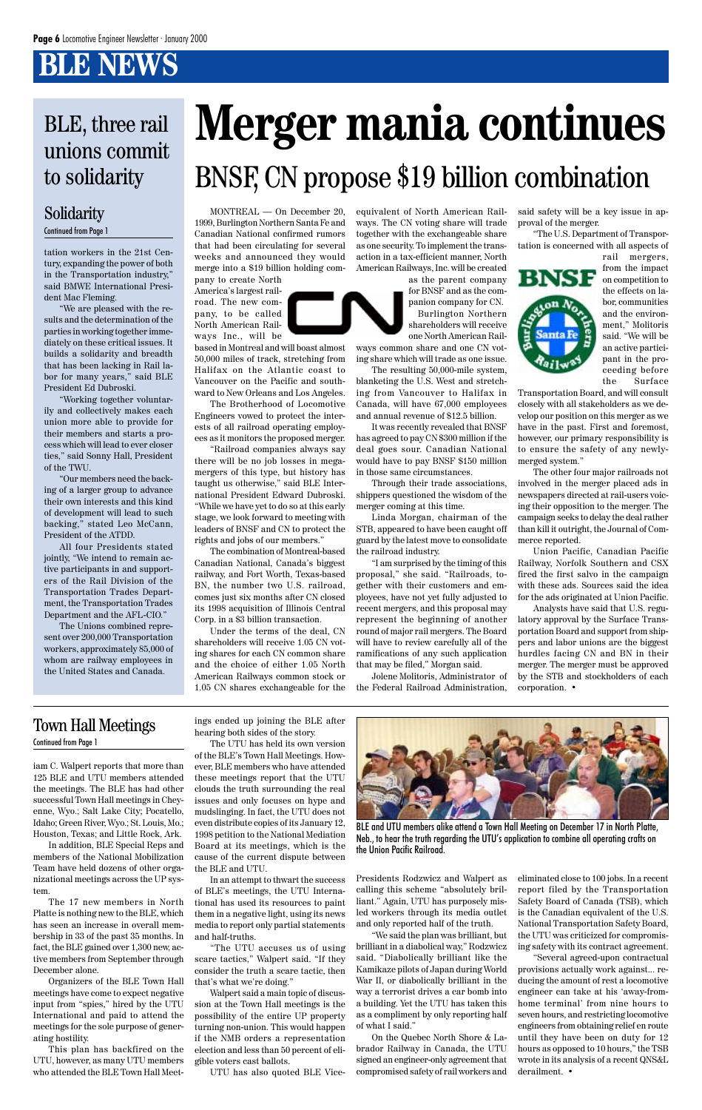iam C. Walpert reports that more than 125 BLE and UTU members attended the meetings. The BLE has had other successful Town Hall meetings in Cheyenne, Wyo.; Salt Lake City; Pocatello, Idaho; Green River, Wyo.; St. Louis, Mo.; Houston, Texas; and Little Rock, Ark. In addition, BLE Special Reps and members of the National Mobilization Team have held dozens of other organizational meetings across the UP system. The 17 new members in North Platte is nothing new to the BLE, which has seen an increase in overall membership in 33 of the past 35 months. In fact, the BLE gained over 1,300 new, active members from September through December alone.

Organizers of the BLE Town Hall meetings have come to expect negative input from "spies," hired by the UTU International and paid to attend the meetings for the sole purpose of generating hostility.

This plan has backfired on the UTU, however, as many UTU members who attended the BLE Town Hall Meet-

### Town Hall Meetings

#### Continued from Page 1

BLE and UTU members alike attend a Town Hall Meeting on December 17 in North Platte, Neb., to hear the truth regarding the UTU's application to combine all operating crafts on the Union Pacific Railroad.

ings ended up joining the BLE after hearing both sides of the story.

The UTU has held its own version of the BLE's Town Hall Meetings. However, BLE members who have attended these meetings report that the UTU clouds the truth surrounding the real issues and only focuses on hype and mudslinging. In fact, the UTU does not even distribute copies of its January 12, 1998 petition to the National Mediation Board at its meetings, which is the cause of the current dispute between the BLE and UTU. In an attempt to thwart the success of BLE's meetings, the UTU International has used its resources to paint them in a negative light, using its news media to report only partial statements and half-truths.



"The UTU accuses us of using scare tactics," Walpert said. "If they consider the truth a scare tactic, then that's what we're doing."

Walpert said a main topic of discussion at the Town Hall meetings is the possibility of the entire UP property turning non-union. This would happen if the NMB orders a representation election and less than 50 percent of eligible voters cast ballots.

UTU has also quoted BLE Vice-

Presidents Rodzwicz and Walpert as calling this scheme "absolutely brilliant." Again, UTU has purposely misled workers through its media outlet and only reported half of the truth.

"We said the plan was brilliant, but brilliant in a diabolical way," Rodzwicz said. "Diabolically brilliant like the Kamikaze pilots of Japan during World War II, or diabolically brilliant in the way a terrorist drives a car bomb into a building. Yet the UTU has taken this as a compliment by only reporting half of what I said."

On the Quebec North Shore & Labrador Railway in Canada, the UTU signed an engineer-only agreement that compromised safety of rail workers and

eliminated close to 100 jobs. In a recent report filed by the Transportation Safety Board of Canada (TSB), which is the Canadian equivalent of the U.S. National Transportation Safety Board, the UTU was criticized for compromising safety with its contract agreement.

"Several agreed-upon contractual provisions actually work against... reducing the amount of rest a locomotive engineer can take at his 'away-fromhome terminal' from nine hours to seven hours, and restricting locomotive engineers from obtaining relief en route until they have been on duty for 12 hours as opposed to 10 hours," the TSB wrote in its analysis of a recent QNS&L derailment. •

tation workers in the 21st Century, expanding the power of both in the Transportation industry," said BMWE International President Mac Fleming.

"We are pleased with the results and the determination of the parties in working together immediately on these critical issues. It builds a solidarity and breadth that has been lacking in Rail labor for many years," said BLE President Ed Dubroski.

"Working together voluntarily and collectively makes each union more able to provide for their members and starts a process which will lead to ever closer ties," said Sonny Hall, President of the TWU.

"Our members need the backing of a larger group to advance their own interests and this kind of development will lead to such backing," stated Leo McCann, President of the ATDD.

All four Presidents stated jointly, "We intend to remain active participants in and supporters of the Rail Division of the Transportation Trades Department, the Transportation Trades Department and the AFL-CIO."

The Unions combined represent over 200,000 Transportation workers, approximately 85,000 of whom are railway employees in the United States and Canada.

#### Solidarity Continued from Page 1

### BLE, three rail unions commit to solidarity

MONTREAL — On December 20, 1999, Burlington Northern Santa Fe and Canadian National confirmed rumors that had been circulating for several weeks and announced they would merge into a \$19 billion holding company to create North

America's largest railroad. The new company, to be called North American Railways Inc., will be

based in Montreal and will boast almost 50,000 miles of track, stretching from Halifax on the Atlantic coast to Vancouver on the Pacific and southward to New Orleans and Los Angeles.

The Brotherhood of Locomotive Engineers vowed to protect the interests of all railroad operating employees as it monitors the proposed merger.

"Railroad companies always say there will be no job losses in megamergers of this type, but history has taught us otherwise," said BLE International President Edward Dubroski. "While we have yet to do so at this early stage, we look forward to meeting with leaders of BNSF and CN to protect the rights and jobs of our members."

The combination of Montreal-based Canadian National, Canada's biggest railway, and Fort Worth, Texas-based BN, the number two U.S. railroad, comes just six months after CN closed its 1998 acquisition of Illinois Central Corp. in a \$3 billion transaction.

Under the terms of the deal, CN shareholders will receive 1.05 CN voting shares for each CN common share and the choice of either 1.05 North American Railways common stock or 1.05 CN shares exchangeable for the equivalent of North American Railways. The CN voting share will trade together with the exchangeable share as one security. To implement the transaction in a tax-efficient manner, North American Railways, Inc. will be created

as the parent company for BNSF and as the companion company for CN.

Burlington Northern shareholders will receive one North American Railways common share and one CN vot-

ing share which will trade as one issue. The resulting 50,000-mile system,

blanketing the U.S. West and stretching from Vancouver to Halifax in Canada, will have 67,000 employees and annual revenue of \$12.5 billion.

It was recently revealed that BNSF has agreed to pay CN \$300 million if the deal goes sour. Canadian National would have to pay BNSF \$150 million in those same circumstances.

Through their trade associations, shippers questioned the wisdom of the merger coming at this time.

Linda Morgan, chairman of the STB, appeared to have been caught off guard by the latest move to consolidate the railroad industry.

"I am surprised by the timing of this proposal," she said. "Railroads, together with their customers and employees, have not yet fully adjusted to recent mergers, and this proposal may represent the beginning of another round of major rail mergers. The Board will have to review carefully all of the ramifications of any such application that may be filed," Morgan said.

Jolene Molitoris, Administrator of the Federal Railroad Administration, said safety will be a key issue in approval of the merger.

"The U.S. Department of Transportation is concerned with all aspects of



rail mergers, from the impact on competition to the effects on labor, communities and the environment," Molitoris said. "We will be an active participant in the proceeding before the Surface

Transportation Board, and will consult closely with all stakeholders as we develop our position on this merger as we have in the past. First and foremost, however, our primary responsibility is to ensure the safety of any newlymerged system."

The other four major railroads not involved in the merger placed ads in newspapers directed at rail-users voicing their opposition to the merger. The campaign seeks to delay the deal rather than kill it outright, the Journal of Commerce reported.

Union Pacific, Canadian Pacific Railway, Norfolk Southern and CSX fired the first salvo in the campaign with these ads. Sources said the idea for the ads originated at Union Pacific.

Analysts have said that U.S. regulatory approval by the Surface Transportation Board and support from shippers and labor unions are the biggest hurdles facing CN and BN in their merger. The merger must be approved by the STB and stockholders of each corporation. •

# **Merger mania continues** BNSF, CN propose \$19 billion combination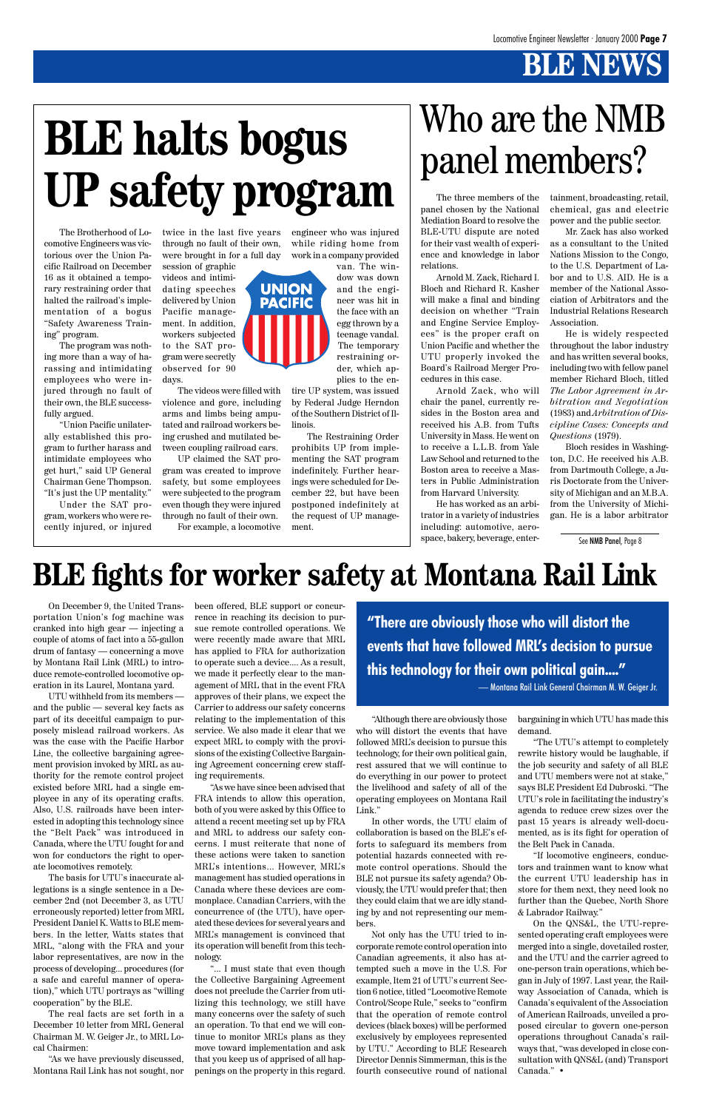On December 9, the United Transportation Union's fog machine was cranked into high gear — injecting a couple of atoms of fact into a 55-gallon drum of fantasy — concerning a move by Montana Rail Link (MRL) to introduce remote-controlled locomotive operation in its Laurel, Montana yard.

UTU withheld from its members and the public — several key facts as part of its deceitful campaign to purposely mislead railroad workers. As was the case with the Pacific Harbor Line, the collective bargaining agreement provision invoked by MRL as authority for the remote control project existed before MRL had a single employee in any of its operating crafts. Also, U.S. railroads have been interested in adopting this technology since the "Belt Pack" was introduced in Canada, where the UTU fought for and won for conductors the right to operate locomotives remotely. The basis for UTU's inaccurate allegations is a single sentence in a December 2nd (not December 3, as UTU erroneously reported) letter from MRL President Daniel K. Watts to BLE members. In the letter, Watts states that MRL, "along with the FRA and your labor representatives, are now in the process of developing... procedures (for a safe and careful manner of operation)," which UTU portrays as "willing cooperation" by the BLE. The real facts are set forth in a December 10 letter from MRL General Chairman M. W. Geiger Jr., to MRL Local Chairmen:

"As we have previously discussed, Montana Rail Link has not sought, nor been offered, BLE support or concurrence in reaching its decision to pursue remote controlled operations. We were recently made aware that MRL has applied to FRA for authorization to operate such a device.... As a result, we made it perfectly clear to the management of MRL that in the event FRA approves of their plans, we expect the Carrier to address our safety concerns relating to the implementation of this service. We also made it clear that we expect MRL to comply with the provisions of the existing Collective Bargaining Agreement concerning crew staffing requirements.

"As we have since been advised that FRA intends to allow this operation, both of you were asked by this Office to attend a recent meeting set up by FRA and MRL to address our safety concerns. I must reiterate that none of these actions were taken to sanction MRL's intentions... However, MRL's management has studied operations in Canada where these devices are commonplace. Canadian Carriers, with the concurrence of (the UTU), have operated these devices for several years and MRL's management is convinced that its operation will benefit from this technology. "... I must state that even though the Collective Bargaining Agreement does not preclude the Carrier from utilizing this technology, we still have many concerns over the safety of such an operation. To that end we will continue to monitor MRL's plans as they move toward implementation and ask that you keep us of apprised of all happenings on the property in this regard.

"Although there are obviously those who will distort the events that have followed MRL's decision to pursue this technology, for their own political gain, rest assured that we will continue to do everything in our power to protect the livelihood and safety of all of the operating employees on Montana Rail Link."

In other words, the UTU claim of collaboration is based on the BLE's efforts to safeguard its members from potential hazards connected with remote control operations. Should the BLE not pursue its safety agenda? Obviously, the UTU would prefer that; then they could claim that we are idly standing by and not representing our members.

Not only has the UTU tried to incorporate remote control operation into Canadian agreements, it also has attempted such a move in the U.S. For example, Item 21 of UTU's current Section 6 notice, titled "Locomotive Remote Control/Scope Rule," seeks to "confirm that the operation of remote control devices (black boxes) will be performed exclusively by employees represented by UTU." According to BLE Research Director Dennis Simmerman, this is the fourth consecutive round of national bargaining in which UTU has made this demand.

"The UTU's attempt to completely rewrite history would be laughable, if the job security and safety of all BLE and UTU members were not at stake," says BLE President Ed Dubroski. "The UTU's role in facilitating the industry's agenda to reduce crew sizes over the



past 15 years is already well-documented, as is its fight for operation of the Belt Pack in Canada.

"If locomotive engineers, conductors and trainmen want to know what the current UTU leadership has in store for them next, they need look no further than the Quebec, North Shore & Labrador Railway."

On the QNS&L, the UTU-represented operating craft employees were merged into a single, dovetailed roster, and the UTU and the carrier agreed to one-person train operations, which began in July of 1997. Last year, the Railway Association of Canada, which is Canada's equivalent of the Association of American Railroads, unveiled a proposed circular to govern one-person operations throughout Canada's railways that, "was developed in close consultation with QNS&L (and) Transport Canada." •

### **BLE fights for worker safety at Montana Rail Link**

The Brotherhood of Locomotive Engineers was victorious over the Union Pacific Railroad on December 16 as it obtained a temporary restraining order that halted the railroad's implementation of a bogus "Safety Awareness Training" program.

The program was nothing more than a way of harassing and intimidating employees who were injured through no fault of their own, the BLE successfully argued.

"Union Pacific unilaterally established this program to further harass and intimidate employees who get hurt," said UP General Chairman Gene Thompson. "It's just the UP mentality."

Under the SAT program, workers who were recently injured, or injured

twice in the last five years through no fault of their own, were brought in for a full day

session of graphic videos and intimidating speeches delivered by Union Pacific management. In addition, workers subjected to the SAT program were secretly observed for 90 days.

The videos were filled with violence and gore, including arms and limbs being amputated and railroad workers being crushed and mutilated between coupling railroad cars.

UP claimed the SAT program was created to improve safety, but some employees were subjected to the program even though they were injured through no fault of their own.

For example, a locomotive

## Who are the NMB panel members?

The three members of the panel chosen by the National Mediation Board to resolve the BLE-UTU dispute are noted for their vast wealth of experience and knowledge in labor relations.

Arnold M. Zack, Richard I. Bloch and Richard R. Kasher will make a final and binding decision on whether "Train and Engine Service Employees" is the proper craft on Union Pacific and whether the UTU properly invoked the Board's Railroad Merger Procedures in this case.

Arnold Zack, who will chair the panel, currently resides in the Boston area and received his A.B. from Tufts University in Mass. He went on to receive a L.L.B. from Yale Law School and returned to the Boston area to receive a Masters in Public Administration from Harvard University.

He has worked as an arbitrator in a variety of industries including: automotive, aerospace, bakery, beverage, entertainment, broadcasting, retail, chemical, gas and electric power and the public sector.

Mr. Zack has also worked as a consultant to the United Nations Mission to the Congo, to the U.S. Department of Labor and to U.S. AID. He is a member of the National Association of Arbitrators and the Industrial Relations Research Association.

He is widely respected throughout the labor industry and has written several books, including two with fellow panel member Richard Bloch, titled *The Labor Agreement in Arbitration and Negotiation* (1983) and *Arbitration of Discipline Cases: Concepts and Questions* (1979).

Bloch resides in Washington, D.C. He received his A.B. from Dartmouth College, a Juris Doctorate from the University of Michigan and an M.B.A. from the University of Michigan. He is a labor arbitrator

engineer who was injured while riding home from work in a company provided

> van. The window was down and the engineer was hit in the face with an egg thrown by a teenage vandal. The temporary restraining order, which applies to the en-

tire UP system, was issued by Federal Judge Herndon of the Southern District of Illinois.

The Restraining Order prohibits UP from implementing the SAT program indefinitely. Further hearings were scheduled for December 22, but have been postponed indefinitely at the request of UP management.

# **BLE halts bogus UP safety program**

See NMB Panel, Page 8

**"There are obviously those who will distort the events that have followed MRL's decision to pursue this technology for their own political gain...."**

— Montana Rail Link General Chairman M. W. Geiger Jr.